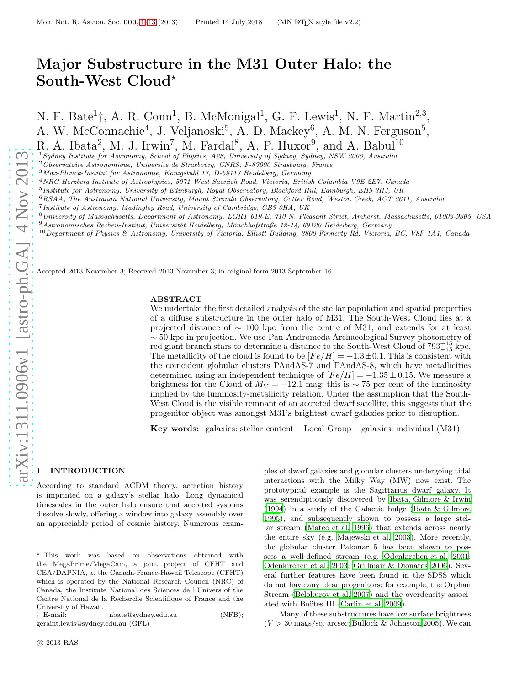# Major Substructure in the M31 Outer Halo: the South-West Cloud<sup>\*</sup>

N. F. Bate<sup>1</sup>†, A. R. Conn<sup>1</sup>, B. McMonigal<sup>1</sup>, G. F. Lewis<sup>1</sup>, N. F. Martin<sup>2,3</sup>, A. W. McConnachie<sup>4</sup>, J. Veljanoski<sup>5</sup>, A. D. Mackey<sup>6</sup>, A. M. N. Ferguson<sup>5</sup>, R. A. Ibata<sup>2</sup>, M. J. Irwin<sup>7</sup>, M. Fardal<sup>8</sup>, A. P. Huxor<sup>9</sup>, and A. Babul<sup>10</sup>

<sup>1</sup>Sydney Institute for Astronomy, School of Physics, A28, University of Sydney, Sydney, NSW 2006, Australia

<sup>2</sup>Observatoire Astronomique, Universite de Strasbourg, CNRS, F-67000 Strasbourg, France

 $3$ Max-Planck-Institut für Astronomie, Königstuhl 17, D-69117 Heidelberg, Germany

<sup>4</sup>NRC Herzberg Institute of Astrophysics, 5071 West Saanich Road, Victoria, British Columbia V9E 2E7, Canada

<sup>5</sup> Institute for Astronomy, University of Edinburgh, Royal Observatory, Blackford Hill, Edinburgh, EH9 3HJ, UK

<sup>6</sup>RSAA, The Australian National University, Mount Stromlo Observatory, Cotter Road, Weston Creek, ACT 2611, Australia

- <sup>7</sup> Institute of Astronomy, Madingley Road, University of Cambridge, CB3 0HA, UK
- <sup>8</sup>University of Massachusetts, Department of Astronomy, LGRT 619-E, 710 N. Pleasant Street, Amherst, Massachusetts, 01003-9305, USA
- $9$ Astronomisches Rechen-Institut, Universität Heidelberg, Mönchhofstraße 12-14, 69120 Heidelberg, Germany
- $10$  Department of Physics & Astronomy, University of Victoria, Elliott Building, 3800 Finnerty Rd, Victoria, BC, V8P 1A1, Canada

Accepted 2013 November 3; Received 2013 November 3; in original form 2013 September 16

# ABSTRACT

We undertake the first detailed analysis of the stellar population and spatial properties of a diffuse substructure in the outer halo of M31. The South-West Cloud lies at a projected distance of ∼ 100 kpc from the centre of M31, and extends for at least ∼ 50 kpc in projection. We use Pan-Andromeda Archaeological Survey photometry of red giant branch stars to determine a distance to the South-West Cloud of  $793^{+45}_{-45}$  kpc. The metallicity of the cloud is found to be  $[Fe/H] = -1.3 \pm 0.1$ . This is consistent with the coincident globular clusters PAndAS-7 and PAndAS-8, which have metallicities determined using an independent technique of  $[Fe/H] = -1.35 \pm 0.15$ . We measure a brightness for the Cloud of  $M_V = -12.1$  mag; this is ~75 per cent of the luminosity implied by the luminosity-metallicity relation. Under the assumption that the South-West Cloud is the visible remnant of an accreted dwarf satellite, this suggests that the progenitor object was amongst M31's brightest dwarf galaxies prior to disruption.

Key words: galaxies: stellar content – Local Group – galaxies: individual (M31)

# <span id="page-0-0"></span>**INTRODUCTION**

According to standard ΛCDM theory, accretion history is imprinted on a galaxy's stellar halo. Long dynamical timescales in the outer halo ensure that accreted systems dissolve slowly, offering a window into galaxy assembly over an appreciable period of cosmic history. Numerous exam-

 $n$ bate@sydney.edu.au (NFB); geraint.lewis@sydney.edu.au (GFL)

ples of dwarf galaxies and globular clusters undergoing tidal interactions with the Milky Way (MW) now exist. The prototypical example is the Sagittarius dwarf galaxy. It was serendipitously discovered by [Ibata, Gilmore & Irwin](#page-11-0) [\(1994](#page-11-0)) in a study of the Galactic bulge (Ibata  $&$  Gilmore [1995](#page-11-1)), and subsequently shown to possess a large stellar stream [\(Mateo et al. 1996\)](#page-12-0) that extends across nearly the entire sky (e.g. [Majewski et al. 2003](#page-12-1)). More recently, the globular cluster Palomar 5 has been shown to possess a well-defined stream (e.g. [Odenkirchen et al. 2001](#page-12-2); [Odenkirchen et al. 2003;](#page-12-3) [Grillmair & Dionatos 2006\)](#page-11-2). Several further features have been found in the SDSS which do not have any clear progenitors: for example, the Orphan Stream [\(Belokurov et al. 2007](#page-11-3)) and the overdensity associ-ated with Boötes III [\(Carlin et al. 2009](#page-11-4)).

Many of these substructures have low surface brightness  $(V > 30$  mags/sq. arcsec; [Bullock & Johnston 2005](#page-11-5)). We can

<sup>⋆</sup> This work was based on observations obtained with the MegaPrime/MegaCam, a joint project of CFHT and CEA/DAPNIA, at the Canada-France-Hawaii Telescope (CFHT) which is operated by the National Research Council (NRC) of Canada, the Institute National des Sciences de l'Univers of the Centre National de la Recherche Scientifique of France and the University of Hawaii.<br>† E-mail: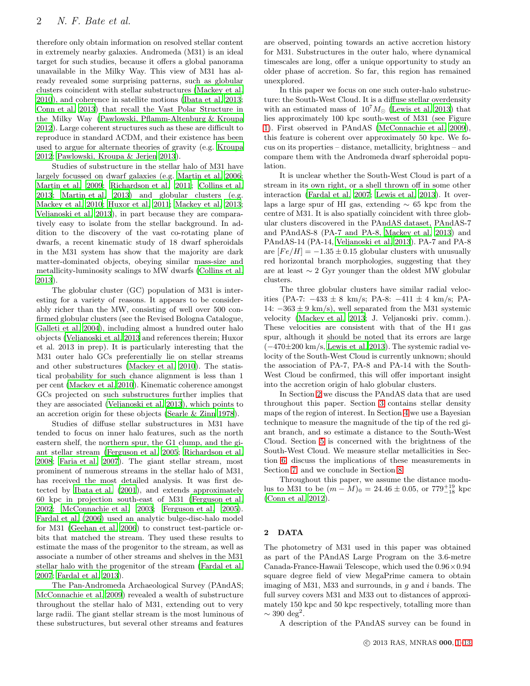therefore only obtain information on resolved stellar content in extremely nearby galaxies. Andromeda (M31) is an ideal target for such studies, because it offers a global panorama unavailable in the Milky Way. This view of M31 has already revealed some surprising patterns, such as globular clusters coincident with stellar substructures [\(Mackey et](#page-12-4) al. [2010](#page-12-4)), and coherence in satellite motions [\(Ibata et al. 2013;](#page-12-5) [Conn et al. 2013](#page-11-6)) that recall the Vast Polar Structure in the Milky Way [\(Pawlowski, Pflamm-Altenburg & Kroupa](#page-12-6) [2012](#page-12-6)). Large coherent structures such as these are difficult to reproduce in standard ΛCDM, and their existence has been used to argue for alternate theories of gravity (e.g. [Kroupa](#page-12-7) [2012](#page-12-7); [Pawlowski, Kroupa & Jerjen 2013\)](#page-12-8).

Studies of substructure in the stellar halo of M31 have largely focussed on dwarf galaxies (e.g. [Martin et al. 2006;](#page-12-9) [Martin et al. 2009](#page-12-10); [Richardson et al. 2011;](#page-12-11) [Collins et al.](#page-11-7) [2013](#page-11-7); [Martin et al. 2013](#page-12-12)) and globular clusters (e.g. [Mackey et al. 2010](#page-12-4); [Huxor et al. 2011;](#page-11-8) [Mackey et al. 2013;](#page-12-13) [Veljanoski et al. 2013](#page-12-14)), in part because they are comparatively easy to isolate from the stellar background. In addition to the discovery of the vast co-rotating plane of dwarfs, a recent kinematic study of 18 dwarf spheroidals in the M31 system has show that the majority are dark matter-dominated objects, obeying similar mass-size and metallicity-luminosity scalings to MW dwarfs [\(Collins et al.](#page-11-7) [2013](#page-11-7)).

The globular cluster (GC) population of M31 is interesting for a variety of reasons. It appears to be considerably richer than the MW, consisting of well over 500 confirmed globular clusters (see the Revised Bologna Catalogue, [Galleti et al. 2004\)](#page-11-9), including almost a hundred outer halo objects [\(Veljanoski et al. 2013](#page-12-14) and references therein; Huxor et al. 2013 in prep). It is particularly interesting that the M31 outer halo GCs preferentially lie on stellar streams and other substructures [\(Mackey et al. 2010](#page-12-4)). The statistical probability for such chance alignment is less than 1 per cent [\(Mackey et al. 2010](#page-12-4)). Kinematic coherence amongst GCs projected on such substructures further implies that they are associated [\(Veljanoski et al. 2013](#page-12-14)), which points to an accretion origin for these objects [\(Searle & Zinn 1978](#page-12-15)).

Studies of diffuse stellar substructures in M31 have tended to focus on inner halo features, such as the north eastern shelf, the northern spur, the G1 clump, and the giant stellar stream [\(Ferguson et al. 2005;](#page-11-10) [Richardson et al.](#page-12-16) [2008](#page-12-16); [Faria et al. 2007\)](#page-11-11). The giant stellar stream, most prominent of numerous streams in the stellar halo of M31, has received the most detailed analysis. It was first detected by [Ibata et al. \(2001](#page-12-17)), and extends approximately 60 kpc in projection south-east of M31 [\(Ferguson et al.](#page-11-12) [2002](#page-11-12); [McConnachie et al. 2003;](#page-12-18) [Ferguson et al. 2005](#page-11-10)). [Fardal et al. \(2006\)](#page-11-13) used an analytic bulge-disc-halo model for M31 [\(Geehan et al. 2006\)](#page-11-14) to construct test-particle orbits that matched the stream. They used these results to estimate the mass of the progenitor to the stream, as well as associate a number of other streams and shelves in the M31 stellar halo with the progenitor of the stream [\(Fardal et al.](#page-11-15) [2007](#page-11-15); [Fardal et al. 2013\)](#page-11-16).

The Pan-Andromeda Archaeological Survey (PAndAS; [McConnachie et al. 2009](#page-12-19)) revealed a wealth of substructure throughout the stellar halo of M31, extending out to very large radii. The giant stellar stream is the most luminous of these substructures, but several other streams and features

are observed, pointing towards an active accretion history for M31. Substructures in the outer halo, where dynamical timescales are long, offer a unique opportunity to study an older phase of accretion. So far, this region has remained unexplored.

In this paper we focus on one such outer-halo substructure: the South-West Cloud. It is a diffuse stellar overdensity with an estimated mass of  $10^7 M_{\odot}$  [\(Lewis et al. 2013](#page-12-20)) that lies approximately 100 kpc south-west of M31 (see Figure [1\)](#page-2-0). First observed in PAndAS [\(McConnachie et al. 2009](#page-12-19)), this feature is coherent over approximately 50 kpc. We focus on its properties – distance, metallicity, brightness – and compare them with the Andromeda dwarf spheroidal population.

It is unclear whether the South-West Cloud is part of a stream in its own right, or a shell thrown off in some other interaction [\(Fardal et al. 2007;](#page-11-15) [Lewis et al. 2013](#page-12-20)). It overlaps a large spur of HI gas, extending ∼ 65 kpc from the centre of M31. It is also spatially coincident with three globular clusters discovered in the PAndAS dataset, PAndAS-7 and PAndAS-8 (PA-7 and PA-8, [Mackey et al. 2013](#page-12-13)) and PAndAS-14 (PA-14, [Veljanoski et al. 2013](#page-12-14)). PA-7 and PA-8 are  $[Fe/H] = -1.35 \pm 0.15$  globular clusters with unusually red horizontal branch morphologies, suggesting that they are at least ∼ 2 Gyr younger than the oldest MW globular clusters.

The three globular clusters have similar radial velocities (PA-7: −433 ± 8 km/s; PA-8: −411 ± 4 km/s; PA-14:  $-363 \pm 9$  km/s), well separated from the M31 systemic velocity [\(Mackey et al. 2013](#page-12-13); J. Veljanoski priv. comm.). These velocities are consistent with that of the H<sub>I</sub> gas spur, although it should be noted that its errors are large (−470±200 km/s, [Lewis et al. 2013\)](#page-12-20). The systemic radial velocity of the South-West Cloud is currently unknown; should the association of PA-7, PA-8 and PA-14 with the South-West Cloud be confirmed, this will offer important insight into the accretion origin of halo globular clusters.

In Section [2](#page-1-0) we discuss the PAndAS data that are used throughout this paper. Section [3](#page-3-0) contains stellar density maps of the region of interest. In Section [4](#page-4-0) we use a Bayesian technique to measure the magnitude of the tip of the red giant branch, and so estimate a distance to the South-West Cloud. Section [5](#page-5-0) is concerned with the brightness of the South-West Cloud. We measure stellar metallicities in Section [6,](#page-7-0) discuss the implications of these measurements in Section [7,](#page-9-0) and we conclude in Section [8.](#page-10-0)

Throughout this paper, we assume the distance modulus to M31 to be  $(m - M)_0 = 24.46 \pm 0.05$ , or  $779^{+19}_{-18}$  kpc [\(Conn et al. 2012](#page-11-17)).

# <span id="page-1-0"></span>2 DATA

The photometry of M31 used in this paper was obtained as part of the PAndAS Large Program on the 3.6-metre Canada-France-Hawaii Telescope, which used the 0.96×0.94 square degree field of view MegaPrime camera to obtain imaging of M31, M33 and surrounds, in  $q$  and  $i$  bands. The full survey covers M31 and M33 out to distances of approximately 150 kpc and 50 kpc respectively, totalling more than  $\sim$  390 deg<sup>2</sup>.

A description of the PAndAS survey can be found in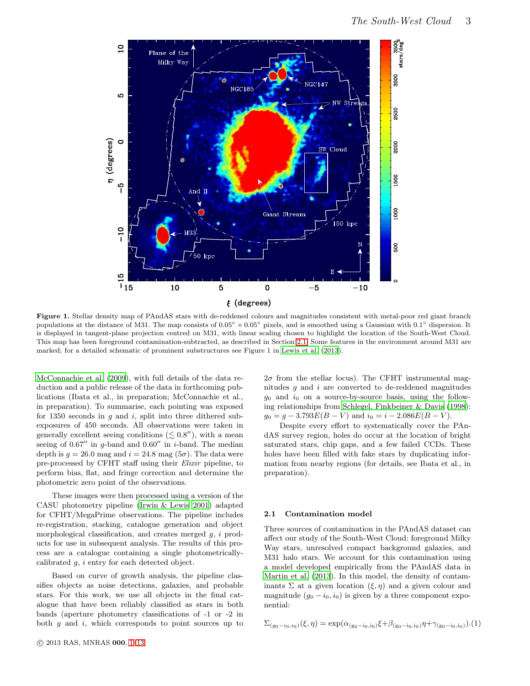

<span id="page-2-0"></span>Figure 1. Stellar density map of PAndAS stars with de-reddened colours and magnitudes consistent with metal-poor red giant branch populations at the distance of M31. The map consists of  $0.05° \times 0.05°$  pixels, and is smoothed using a Gaussian with  $0.1°$  dispersion. It is displayed in tangent-plane projection centred on M31, with linear scaling chosen to highlight the location of the South-West Cloud. This map has been foreground contamination-subtracted, as described in Section [2.1.](#page-2-1) Some features in the environment around M31 are marked; for a detailed schematic of prominent substructures see Figure 1 in [Lewis et al. \(2013](#page-12-20)).

[McConnachie et al. \(2009](#page-12-19)), with full details of the data reduction and a public release of the data in forthcoming publications (Ibata et al., in preparation; McConnachie et al., in preparation). To summarise, each pointing was exposed for 1350 seconds in  $q$  and  $i$ , split into three dithered subexposures of 450 seconds. All observations were taken in generally excellent seeing conditions  $(\lesssim 0.8'')$ , with a mean seeing of  $0.67''$  in g-band and  $0.60''$  in i-band. The median depth is  $g = 26.0$  mag and  $i = 24.8$  mag  $(5\sigma)$ . The data were pre-processed by CFHT staff using their Elixir pipeline, to perform bias, flat, and fringe correction and determine the photometric zero point of the observations.

These images were then processed using a version of the CASU photometry pipeline [\(Irwin & Lewis 2001](#page-12-21)) adapted for CFHT/MegaPrime observations. The pipeline includes re-registration, stacking, catalogue generation and object morphological classification, and creates merged g, i products for use in subsequent analysis. The results of this process are a catalogue containing a single photometricallycalibrated g, i entry for each detected object.

Based on curve of growth analysis, the pipeline classifies objects as noise detections, galaxies, and probable stars. For this work, we use all objects in the final catalogue that have been reliably classified as stars in both bands (aperture photometry classifications of -1 or -2 in both  $g$  and  $i$ , which corresponds to point sources up to

 $2\sigma$  from the stellar locus). The CFHT instrumental magnitudes  $g$  and  $i$  are converted to de-reddened magnitudes  $g_0$  and  $i_0$  on a source-by-source basis, using the following relationships from [Schlegel, Finkbeiner & Davis \(1998](#page-12-22)):  $q_0 = q - 3.793E(B - V)$  and  $i_0 = i - 2.086E(B - V)$ .

Despite every effort to systematically cover the PAndAS survey region, holes do occur at the location of bright saturated stars, chip gaps, and a few failed CCDs. These holes have been filled with fake stars by duplicating information from nearby regions (for details, see Ibata et al., in preparation).

#### <span id="page-2-1"></span>2.1 Contamination model

Three sources of contamination in the PAndAS dataset can affect our study of the South-West Cloud: foreground Milky Way stars, unresolved compact background galaxies, and M31 halo stars. We account for this contamination using a model developed empirically from the PAndAS data in [Martin et al. \(2013](#page-12-12)). In this model, the density of contaminants  $\Sigma$  at a given location  $(\xi, \eta)$  and a given colour and magnitude  $(g_0 - i_0, i_0)$  is given by a three component exponential:

$$
\Sigma_{(g_0 - i_0, i_0)}(\xi, \eta) = \exp(\alpha_{(g_0 - i_0, i_0)}\xi + \beta_{(g_0 - i_0, i_0)}\eta + \gamma_{(g_0 - i_0, i_0)}).
$$
 (1)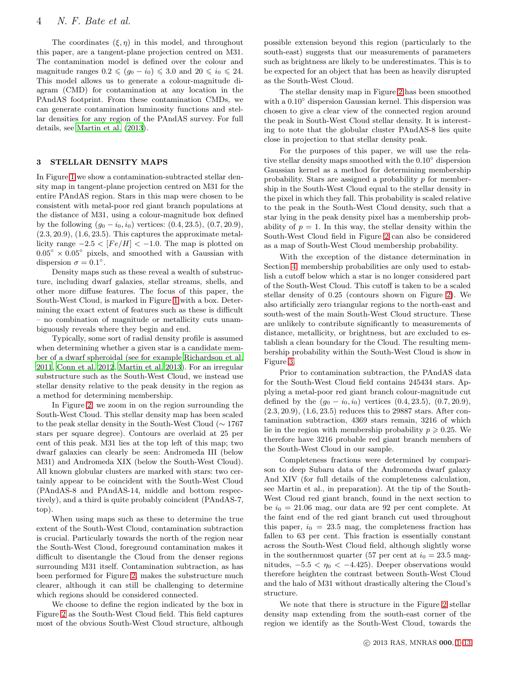The coordinates  $(\xi, \eta)$  in this model, and throughout this paper, are a tangent-plane projection centred on M31. The contamination model is defined over the colour and magnitude ranges  $0.2 \leq (g_0 - i_0) \leq 3.0$  and  $20 \leq i_0 \leq 24$ . This model allows us to generate a colour-magnitude diagram (CMD) for contamination at any location in the PAndAS footprint. From these contamination CMDs, we can generate contamination luminosity functions and stellar densities for any region of the PAndAS survey. For full details, see [Martin et al. \(2013](#page-12-12)).

# <span id="page-3-0"></span>3 STELLAR DENSITY MAPS

In Figure [1](#page-2-0) we show a contamination-subtracted stellar density map in tangent-plane projection centred on M31 for the entire PAndAS region. Stars in this map were chosen to be consistent with metal-poor red giant branch populations at the distance of M31, using a colour-magnitude box defined by the following  $(g_0 - i_0, i_0)$  vertices:  $(0.4, 23.5), (0.7, 20.9),$  $(2.3, 20.9), (1.6, 23.5).$  This captures the approximate metallicity range  $-2.5 < [Fe/H] < -1.0$ . The map is plotted on  $0.05^{\circ} \times 0.05^{\circ}$  pixels, and smoothed with a Gaussian with dispersion  $\sigma = 0.1^{\circ}$ .

Density maps such as these reveal a wealth of substructure, including dwarf galaxies, stellar streams, shells, and other more diffuse features. The focus of this paper, the South-West Cloud, is marked in Figure [1](#page-2-0) with a box. Determining the exact extent of features such as these is difficult – no combination of magnitude or metallicity cuts unambiguously reveals where they begin and end.

Typically, some sort of radial density profile is assumed when determining whether a given star is a candidate member of a dwarf spheroidal (see for example [Richardson et al.](#page-12-11) [2011](#page-12-11), [Conn et al. 2012,](#page-11-17) [Martin et al. 2013](#page-12-12)). For an irregular substructure such as the South-West Cloud, we instead use stellar density relative to the peak density in the region as a method for determining membership.

In Figure [2,](#page-4-1) we zoom in on the region surrounding the South-West Cloud. This stellar density map has been scaled to the peak stellar density in the South-West Cloud (∼ 1767 stars per square degree). Contours are overlaid at 25 per cent of this peak. M31 lies at the top left of this map; two dwarf galaxies can clearly be seen: Andromeda III (below M31) and Andromeda XIX (below the South-West Cloud). All known globular clusters are marked with stars: two certainly appear to be coincident with the South-West Cloud (PAndAS-8 and PAndAS-14, middle and bottom respectively), and a third is quite probably coincident (PAndAS-7, top).

When using maps such as these to determine the true extent of the South-West Cloud, contamination subtraction is crucial. Particularly towards the north of the region near the South-West Cloud, foreground contamination makes it difficult to disentangle the Cloud from the denser regions surrounding M31 itself. Contamination subtraction, as has been performed for Figure [2,](#page-4-1) makes the substructure much clearer, although it can still be challenging to determine which regions should be considered connected.

We choose to define the region indicated by the box in Figure [2](#page-4-1) as the South-West Cloud field. This field captures most of the obvious South-West Cloud structure, although

possible extension beyond this region (particularly to the south-east) suggests that our measurements of parameters such as brightness are likely to be underestimates. This is to be expected for an object that has been as heavily disrupted as the South-West Cloud.

The stellar density map in Figure [2](#page-4-1) has been smoothed with a  $0.10^{\circ}$  dispersion Gaussian kernel. This dispersion was chosen to give a clear view of the connected region around the peak in South-West Cloud stellar density. It is interesting to note that the globular cluster PAndAS-8 lies quite close in projection to that stellar density peak.

For the purposes of this paper, we will use the relative stellar density maps smoothed with the 0.10◦ dispersion Gaussian kernel as a method for determining membership probability. Stars are assigned a probability  $p$  for membership in the South-West Cloud equal to the stellar density in the pixel in which they fall. This probability is scaled relative to the peak in the South-West Cloud density, such that a star lying in the peak density pixel has a membership probability of  $p = 1$ . In this way, the stellar density within the South-West Cloud field in Figure [2](#page-4-1) can also be considered as a map of South-West Cloud membership probability.

With the exception of the distance determination in Section [4,](#page-4-0) membership probabilities are only used to establish a cutoff below which a star is no longer considered part of the South-West Cloud. This cutoff is taken to be a scaled stellar density of 0.25 (contours shown on Figure [2\)](#page-4-1). We also artificially zero triangular regions to the north-east and south-west of the main South-West Cloud structure. These are unlikely to contribute significantly to measurements of distance, metallicity, or brightness, but are excluded to establish a clean boundary for the Cloud. The resulting membership probability within the South-West Cloud is show in Figure [3.](#page-5-1)

Prior to contamination subtraction, the PAndAS data for the South-West Cloud field contains 245434 stars. Applying a metal-poor red giant branch colour-magnitude cut defined by the  $(g_0 - i_0, i_0)$  vertices  $(0.4, 23.5), (0.7, 20.9),$ (2.3, 20.9), (1.6, 23.5) reduces this to 29887 stars. After contamination subtraction, 4369 stars remain, 3216 of which lie in the region with membership probability  $p \geqslant 0.25$ . We therefore have 3216 probable red giant branch members of the South-West Cloud in our sample.

Completeness fractions were determined by comparison to deep Subaru data of the Andromeda dwarf galaxy And XIV (for full details of the completeness calculation, see Martin et al., in preparation). At the tip of the South-West Cloud red giant branch, found in the next section to be  $i_0 = 21.06$  mag, our data are 92 per cent complete. At the faint end of the red giant branch cut used throughout this paper,  $i_0 = 23.5$  mag, the completeness fraction has fallen to 63 per cent. This fraction is essentially constant across the South-West Cloud field, although slightly worse in the southernmost quarter (57 per cent at  $i_0 = 23.5$  magnitudes,  $-5.5 < \eta_0 < -4.425$ ). Deeper observations would therefore heighten the contrast between South-West Cloud and the halo of M31 without drastically altering the Cloud's structure.

We note that there is structure in the Figure [2](#page-4-1) stellar density map extending from the south-east corner of the region we identify as the South-West Cloud, towards the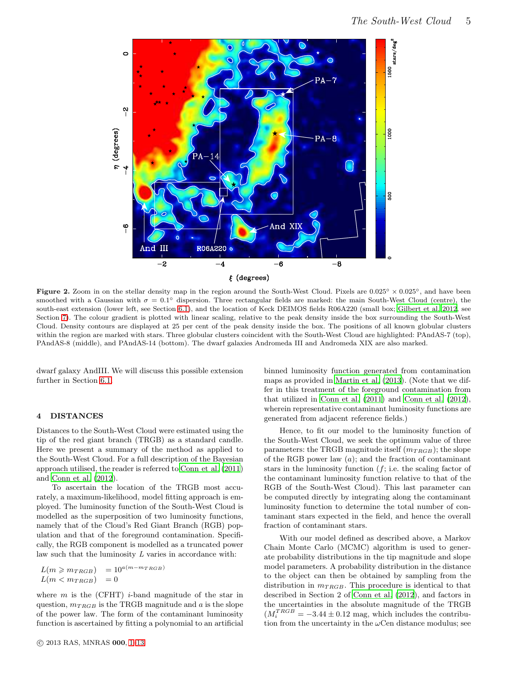

<span id="page-4-1"></span>Figure 2. Zoom in on the stellar density map in the region around the South-West Cloud. Pixels are  $0.025° \times 0.025°$ , and have been smoothed with a Gaussian with  $\sigma = 0.1^{\circ}$  dispersion. Three rectangular fields are marked: the main South-West Cloud (centre), the south-east extension (lower left, see Section [6.1\)](#page-9-1), and the location of Keck DEIMOS fields R06A220 (small box; [Gilbert et](#page-11-18) al. [2012](#page-11-18), see Section [7\)](#page-9-0). The colour gradient is plotted with linear scaling, relative to the peak density inside the box surrounding the South-West Cloud. Density contours are displayed at 25 per cent of the peak density inside the box. The positions of all known globular clusters within the region are marked with stars. Three globular clusters coincident with the South-West Cloud are highlighted: PAndAS-7 (top), PAndAS-8 (middle), and PAndAS-14 (bottom). The dwarf galaxies Andromeda III and Andromeda XIX are also marked.

dwarf galaxy AndIII. We will discuss this possible extension further in Section [6.1.](#page-9-1)

#### <span id="page-4-0"></span>4 DISTANCES

Distances to the South-West Cloud were estimated using the tip of the red giant branch (TRGB) as a standard candle. Here we present a summary of the method as applied to the South-West Cloud. For a full description of the Bayesian approach utilised, the reader is referred to [Conn et al. \(2011](#page-11-19)) and [Conn et al. \(2012](#page-11-17)).

To ascertain the location of the TRGB most accurately, a maximum-likelihood, model fitting approach is employed. The luminosity function of the South-West Cloud is modelled as the superposition of two luminosity functions, namely that of the Cloud's Red Giant Branch (RGB) population and that of the foreground contamination. Specifically, the RGB component is modelled as a truncated power law such that the luminosity L varies in accordance with:

$$
L(m \ge m_{TRGB}) = 10^{a(m - m_{TRGB})}
$$
  

$$
L(m < m_{TRGB}) = 0
$$

where  $m$  is the (CFHT) *i*-band magnitude of the star in question,  $m_{TRGB}$  is the TRGB magnitude and  $a$  is the slope of the power law. The form of the contaminant luminosity function is ascertained by fitting a polynomial to an artificial binned luminosity function generated from contamination maps as provided in [Martin et al. \(2013\)](#page-12-12). (Note that we differ in this treatment of the foreground contamination from that utilized in [Conn et al. \(2011](#page-11-19)) and [Conn et al. \(2012](#page-11-17)), wherein representative contaminant luminosity functions are generated from adjacent reference fields.)

Hence, to fit our model to the luminosity function of the South-West Cloud, we seek the optimum value of three parameters: the TRGB magnitude itself  $(m_{TRGB})$ ; the slope of the RGB power law  $(a)$ ; and the fraction of contaminant stars in the luminosity function  $(f; i.e.$  the scaling factor of the contaminant luminosity function relative to that of the RGB of the South-West Cloud). This last parameter can be computed directly by integrating along the contaminant luminosity function to determine the total number of contaminant stars expected in the field, and hence the overall fraction of contaminant stars.

With our model defined as described above, a Markov Chain Monte Carlo (MCMC) algorithm is used to generate probability distributions in the tip magnitude and slope model parameters. A probability distribution in the distance to the object can then be obtained by sampling from the distribution in  $m_{TRGB}$ . This procedure is identical to that described in Section 2 of [Conn et al. \(2012](#page-11-17)), and factors in the uncertainties in the absolute magnitude of the TRGB  $(M_i^{TRGB} = -3.44 \pm 0.12$  mag, which includes the contribution from the uncertainty in the  $\omega$ Cen distance modulus; see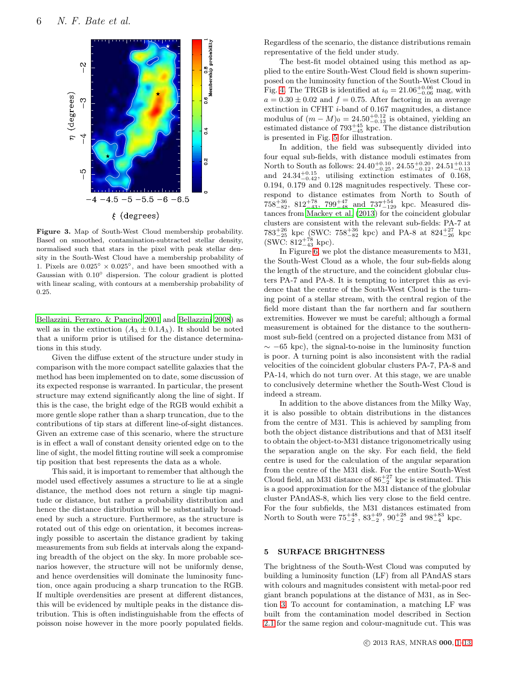

<span id="page-5-1"></span>Figure 3. Map of South-West Cloud membership probability. Based on smoothed, contamination-subtracted stellar density, normalised such that stars in the pixel with peak stellar density in the South-West Cloud have a membership probability of 1. Pixels are  $0.025^{\circ}\times0.025^{\circ},$  and have been smoothed with a Gaussian with 0.10◦ dispersion. The colour gradient is plotted with linear scaling, with contours at a membership probability of 0.25.

[Bellazzini, Ferraro, & Pancino 2001](#page-11-20) and [Bellazzini 2008](#page-11-21)) as well as in the extinction  $(A_{\lambda} \pm 0.1A_{\lambda})$ . It should be noted that a uniform prior is utilised for the distance determinations in this study.

Given the diffuse extent of the structure under study in comparison with the more compact satellite galaxies that the method has been implemented on to date, some discussion of its expected response is warranted. In particular, the present structure may extend significantly along the line of sight. If this is the case, the bright edge of the RGB would exhibit a more gentle slope rather than a sharp truncation, due to the contributions of tip stars at different line-of-sight distances. Given an extreme case of this scenario, where the structure is in effect a wall of constant density oriented edge on to the line of sight, the model fitting routine will seek a compromise tip position that best represents the data as a whole.

This said, it is important to remember that although the model used effectively assumes a structure to lie at a single distance, the method does not return a single tip magnitude or distance, but rather a probability distribution and hence the distance distribution will be substantially broadened by such a structure. Furthermore, as the structure is rotated out of this edge on orientation, it becomes increasingly possible to ascertain the distance gradient by taking measurements from sub fields at intervals along the expanding breadth of the object on the sky. In more probable scenarios however, the structure will not be uniformly dense, and hence overdensities will dominate the luminosity function, once again producing a sharp truncation to the RGB. If multiple overdensities are present at different distances, this will be evidenced by multiple peaks in the distance distribution. This is often indistinguishable from the effects of poisson noise however in the more poorly populated fields.

Regardless of the scenario, the distance distributions remain representative of the field under study.

The best-fit model obtained using this method as applied to the entire South-West Cloud field is shown superimposed on the luminosity function of the South-West Cloud in Fig. [4.](#page-6-0) The TRGB is identified at  $i_0 = 21.06^{+0.06}_{-0.06}$  mag, with  $a = 0.30 \pm 0.02$  and  $f = 0.75$ . After factoring in an average extinction in CFHT i-band of 0.167 magnitudes, a distance modulus of  $(m - M)_0 = 24.50^{+0.12}_{-0.13}$  is obtained, yielding an estimated distance of  $793^{+45}_{-45}$  kpc. The distance distribution is presented in Fig. [5](#page-6-1) for illustration.

In addition, the field was subsequently divided into four equal sub-fields, with distance moduli estimates from North to South as follows:  $24.40^{+0.10}_{-0.25}$ ,  $24.55^{+0.20}_{-0.12}$ ,  $24.51^{+0.13}_{-0.13}$ <br>and  $24.34^{+0.15}_{-0.42}$ , utilising extinction estimates of 0.168, 0.194, 0.179 and 0.128 magnitudes respectively. These correspond to distance estimates from North to South of  $758^{+36}_{-82}$ ,  $812^{+78}_{-43}$ ,  $799^{+47}_{-48}$  and  $737^{+54}_{-129}$  kpc. Measured distances from [Mackey et al. \(2013\)](#page-12-13) for the coincident globular clusters are consistent with the relevant sub-fields: PA-7 at  $783^{+26}_{-25}$  kpc (SWC:  $758^{+36}_{-82}$  kpc) and PA-8 at  $824^{+27}_{-26}$  kpc  $(SWC: 812^{+78}_{-43}$  kpc).

In Figure [6,](#page-7-1) we plot the distance measurements to M31, the South-West Cloud as a whole, the four sub-fields along the length of the structure, and the coincident globular clusters PA-7 and PA-8. It is tempting to interpret this as evidence that the centre of the South-West Cloud is the turning point of a stellar stream, with the central region of the field more distant than the far northern and far southern extremities. However we must be careful; although a formal measurement is obtained for the distance to the southernmost sub-field (centred on a projected distance from M31 of  $\sim$  −65 kpc), the signal-to-noise in the luminosity function is poor. A turning point is also inconsistent with the radial velocities of the coincident globular clusters PA-7, PA-8 and PA-14, which do not turn over. At this stage, we are unable to conclusively determine whether the South-West Cloud is indeed a stream.

In addition to the above distances from the Milky Way, it is also possible to obtain distributions in the distances from the centre of M31. This is achieved by sampling from both the object distance distributions and that of M31 itself to obtain the object-to-M31 distance trigonometrically using the separation angle on the sky. For each field, the field centre is used for the calculation of the angular separation from the centre of the M31 disk. For the entire South-West Cloud field, an M31 distance of  $86^{+27}_{-2}$  kpc is estimated. This is a good approximation for the M31 distance of the globular cluster PAndAS-8, which lies very close to the field centre. For the four subfields, the M31 distances estimated from North to South were  $75^{+48}_{-2}$ ,  $83^{+49}_{-2}$ ,  $90^{+28}_{-2}$  and  $98^{+83}_{-4}$  kpc.

# <span id="page-5-0"></span>5 SURFACE BRIGHTNESS

The brightness of the South-West Cloud was computed by building a luminosity function (LF) from all PAndAS stars with colours and magnitudes consistent with metal-poor red giant branch populations at the distance of M31, as in Section [3.](#page-3-0) To account for contamination, a matching LF was built from the contamination model described in Section [2.1](#page-2-1) for the same region and colour-magnitude cut. This was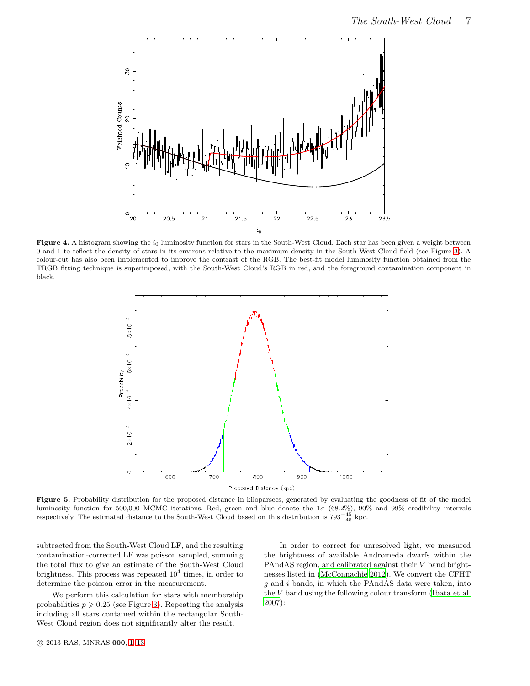

<span id="page-6-0"></span>Figure 4. A histogram showing the  $i_0$  luminosity function for stars in the South-West Cloud. Each star has been given a weight between 0 and 1 to reflect the density of stars in its environs relative to the maximum density in the South-West Cloud field (see Figure [3\)](#page-5-1). A colour-cut has also been implemented to improve the contrast of the RGB. The best-fit model luminosity function obtained from the TRGB fitting technique is superimposed, with the South-West Cloud's RGB in red, and the foreground contamination component in black.



<span id="page-6-1"></span>Figure 5. Probability distribution for the proposed distance in kiloparsecs, generated by evaluating the goodness of fit of the model luminosity function for 500,000 MCMC iterations. Red, green and blue denote the  $1\sigma$  (68.2%), 90% and 99% credibility intervals respectively. The estimated distance to the South-West Cloud based on this distribution is  $793^{+45}_{-45}$  kpc.

subtracted from the South-West Cloud LF, and the resulting contamination-corrected LF was poisson sampled, summing the total flux to give an estimate of the South-West Cloud brightness. This process was repeated  $10^4$  times, in order to determine the poisson error in the measurement.

We perform this calculation for stars with membership probabilities  $p \geqslant 0.25$  (see Figure [3\)](#page-5-1). Repeating the analysis including all stars contained within the rectangular South-West Cloud region does not significantly alter the result.

In order to correct for unresolved light, we measured the brightness of available Andromeda dwarfs within the PAndAS region, and calibrated against their V band brightnesses listed in [\(McConnachie 2012\)](#page-12-23). We convert the CFHT  $g$  and  $i$  bands, in which the PAndAS data were taken, into the V band using the following colour transform [\(Ibata et al.](#page-12-24) [2007](#page-12-24)):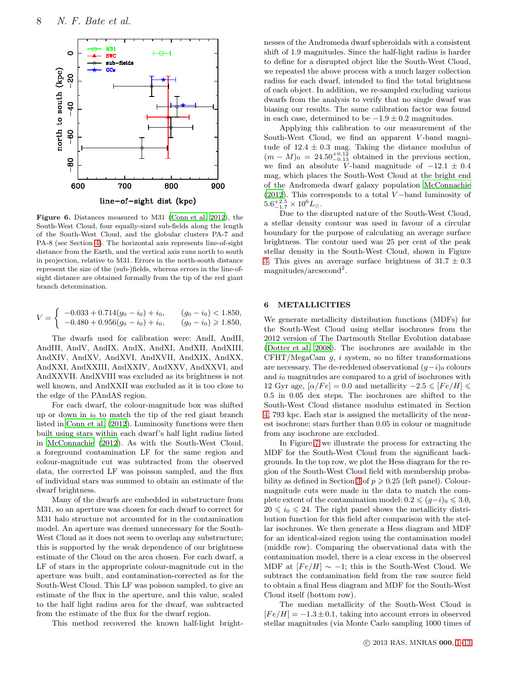

<span id="page-7-1"></span>Figure 6. Distances measured to M31 [\(Conn et al. 2012](#page-11-17)), the South-West Cloud, four equally-sized sub-fields along the length of the South-West Cloud, and the globular clusters PA-7 and PA-8 (see Section [4\)](#page-4-0). The horizontal axis represents line-of-sight distance from the Earth, and the vertical axis runs north to south in projection, relative to M31. Errors in the north-south distance represent the size of the (sub-)fields, whereas errors in the line-ofsight distance are obtained formally from the tip of the red giant branch determination.

$$
V = \begin{cases} \n-0.033 + 0.714(g_0 - i_0) + i_0, & (g_0 - i_0) < 1.850, \\ \n-0.480 + 0.956(g_0 - i_0) + i_0, & (g_0 - i_0) \geq 1.850, \n\end{cases}
$$

The dwarfs used for calibration were: AndI, AndII, AndIII, AndV, AndIX, AndX, AndXI, AndXII, AndXIII, AndXIV, AndXV, AndXVI, AndXVII, AndXIX, AndXX, AndXXI, AndXXIII, AndXXIV, AndXXV, AndXXVI, and AndXXVII. AndXVIII was excluded as its brightness is not well known, and AndXXII was excluded as it is too close to the edge of the PAndAS region.

For each dwarf, the colour-magnitude box was shifted up or down in  $i_0$  to match the tip of the red giant branch listed in [Conn et al. \(2012](#page-11-17)). Luminosity functions were then built using stars within each dwarf's half light radius listed in [McConnachie \(2012\)](#page-12-23). As with the South-West Cloud, a foreground contamination LF for the same region and colour-magnitude cut was subtracted from the observed data, the corrected LF was poisson sampled, and the flux of individual stars was summed to obtain an estimate of the dwarf brightness.

Many of the dwarfs are embedded in substructure from M31, so an aperture was chosen for each dwarf to correct for M31 halo structure not accounted for in the contamination model. An aperture was deemed unnecessary for the South-West Cloud as it does not seem to overlap any substructure; this is supported by the weak dependence of our brightness estimate of the Cloud on the area chosen. For each dwarf, a LF of stars in the appropriate colour-magnitude cut in the aperture was built, and contamination-corrected as for the South-West Cloud. This LF was poisson sampled, to give an estimate of the flux in the aperture, and this value, scaled to the half light radius area for the dwarf, was subtracted from the estimate of the flux for the dwarf region.

This method recovered the known half-light bright-

nesses of the Andromeda dwarf spheroidals with a consistent shift of 1.9 magnitudes. Since the half-light radius is harder to define for a disrupted object like the South-West Cloud, we repeated the above process with a much larger collection radius for each dwarf, intended to find the total brightness of each object. In addition, we re-sampled excluding various dwarfs from the analysis to verify that no single dwarf was biasing our results. The same calibration factor was found in each case, determined to be  $-1.9 \pm 0.2$  magnitudes.

Applying this calibration to our measurement of the South-West Cloud, we find an apparent V -band magnitude of  $12.4 \pm 0.3$  mag. Taking the distance modulus of  $(m - M)_0 = 24.50^{+0.12}_{-0.13}$  obtained in the previous section, we find an absolute V-band magnitude of  $-12.1 \pm 0.4$ mag, which places the South-West Cloud at the bright end of the Andromeda dwarf galaxy population [McConnachie](#page-12-23) [\(2012](#page-12-23)). This corresponds to a total  $V$  –band luminosity of  $5.6^{+2.5}_{-1.7} \times 10^6 L_{\odot}.$ 

Due to the disrupted nature of the South-West Cloud, a stellar density contour was used in favour of a circular boundary for the purpose of calculating an average surface brightness. The contour used was 25 per cent of the peak stellar density in the South-West Cloud, shown in Figure [3.](#page-5-1) This gives an average surface brightness of  $31.7 \pm 0.3$ magnitudes/arcsecond<sup>2</sup>.

# <span id="page-7-0"></span>6 METALLICITIES

We generate metallicity distribution functions (MDFs) for the South-West Cloud using stellar isochrones from the 2012 version of The Dartmouth Stellar Evolution database [\(Dotter et al. 2008](#page-11-22)). The isochrones are available in the  $CFHT/MegaCam g, i system, so no filter transformations$ are necessary. The de-reddened observational  $(g-i)_0$  colours and  $i_0$  magnitudes are compared to a grid of isochrones with 12 Gyr age,  $\left[\alpha/Fe\right] = 0.0$  and metallicity  $-2.5 \leq F_e/H \leq$ 0.5 in 0.05 dex steps. The isochrones are shifted to the South-West Cloud distance modulus estimated in Section [4,](#page-4-0) 793 kpc. Each star is assigned the metallicity of the nearest isochrone; stars further than 0.05 in colour or magnitude from any isochrone are excluded.

In Figure [7](#page-8-0) we illustrate the process for extracting the MDF for the South-West Cloud from the significant backgrounds. In the top row, we plot the Hess diagram for the region of the South-West Cloud field with membership proba-bility as defined in Section [3](#page-3-0) of  $p \geqslant 0.25$  (left panel). Colourmagnitude cuts were made in the data to match the complete extent of the contamination model:  $0.2 \leq (g-i)_0 \leq 3.0$ ,  $20 \leq i_0 \leq 24$ . The right panel shows the metallicity distribution function for this field after comparison with the stellar isochrones. We then generate a Hess diagram and MDF for an identical-sized region using the contamination model (middle row). Comparing the observational data with the contamination model, there is a clear excess in the observed MDF at  $[Fe/H] \sim -1$ ; this is the South-West Cloud. We subtract the contamination field from the raw source field to obtain a final Hess diagram and MDF for the South-West Cloud itself (bottom row).

The median metallicity of the South-West Cloud is  $[Fe/H] = -1.3 \pm 0.1$ , taking into account errors in observed stellar magnitudes (via Monte Carlo sampling 1000 times of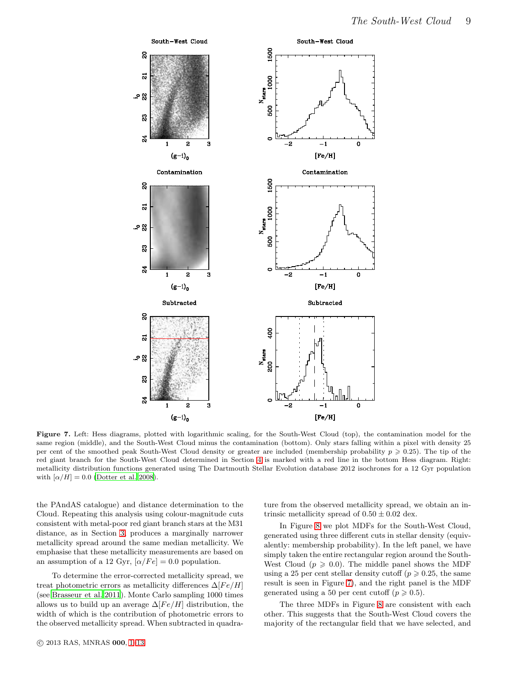

<span id="page-8-0"></span>Figure 7. Left: Hess diagrams, plotted with logarithmic scaling, for the South-West Cloud (top), the contamination model for the same region (middle), and the South-West Cloud minus the contamination (bottom). Only stars falling within a pixel with density 25 per cent of the smoothed peak South-West Cloud density or greater are included (membership probability  $p \geq 0.25$ ). The tip of the red giant branch for the South-West Cloud determined in Section [4](#page-4-0) is marked with a red line in the bottom Hess diagram. Right: metallicity distribution functions generated using The Dartmouth Stellar Evolution database 2012 isochrones for a 12 Gyr population with  $\left[\alpha/H\right] = 0.0$  [\(Dotter et al. 2008](#page-11-22)).

the PAndAS catalogue) and distance determination to the Cloud. Repeating this analysis using colour-magnitude cuts consistent with metal-poor red giant branch stars at the M31 distance, as in Section [3,](#page-3-0) produces a marginally narrower metallicity spread around the same median metallicity. We emphasise that these metallicity measurements are based on an assumption of a 12 Gyr,  $\alpha/Fe] = 0.0$  population.

To determine the error-corrected metallicity spread, we treat photometric errors as metallicity differences  $\Delta [Fe/H]$ (see [Brasseur et al. 2011](#page-11-23)). Monte Carlo sampling 1000 times allows us to build up an average  $\Delta[Fe/H]$  distribution, the width of which is the contribution of photometric errors to the observed metallicity spread. When subtracted in quadra-

c 2013 RAS, MNRAS 000, [1–](#page-0-0)13

ture from the observed metallicity spread, we obtain an intrinsic metallicity spread of  $0.50 \pm 0.02$  dex.

In Figure [8](#page-9-2) we plot MDFs for the South-West Cloud, generated using three different cuts in stellar density (equivalently: membership probability). In the left panel, we have simply taken the entire rectangular region around the South-West Cloud ( $p \geqslant 0.0$ ). The middle panel shows the MDF using a 25 per cent stellar density cutoff ( $p \ge 0.25$ , the same result is seen in Figure [7\)](#page-8-0), and the right panel is the MDF generated using a 50 per cent cutoff  $(p \ge 0.5)$ .

The three MDFs in Figure [8](#page-9-2) are consistent with each other. This suggests that the South-West Cloud covers the majority of the rectangular field that we have selected, and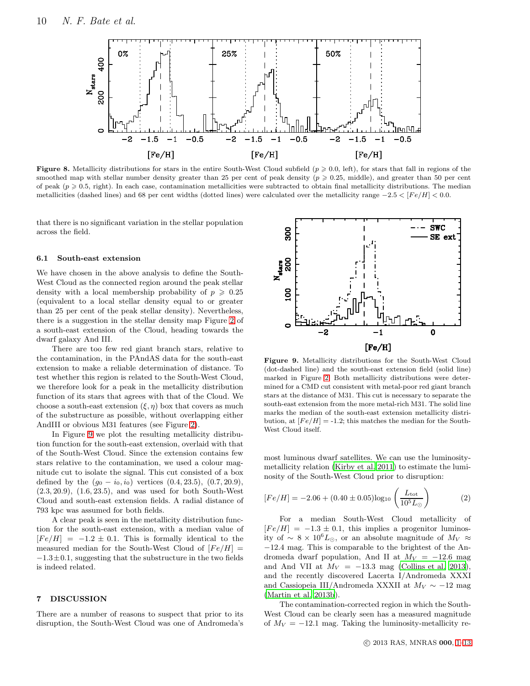

<span id="page-9-2"></span>**Figure 8.** Metallicity distributions for stars in the entire South-West Cloud subfield ( $p \ge 0.0$ , left), for stars that fall in regions of the smoothed map with stellar number density greater than 25 per cent of peak density ( $p \geqslant 0.25$ , middle), and greater than 50 per cent of peak  $(p \geq 0.5,$  right). In each case, contamination metallicities were subtracted to obtain final metallicity distributions. The median metallicities (dashed lines) and 68 per cent widths (dotted lines) were calculated over the metallicity range  $-2.5 < [Fe/H] < 0.0$ .

that there is no significant variation in the stellar population across the field.

#### <span id="page-9-1"></span>6.1 South-east extension

We have chosen in the above analysis to define the South-West Cloud as the connected region around the peak stellar density with a local membership probability of  $p \geqslant 0.25$ (equivalent to a local stellar density equal to or greater than 25 per cent of the peak stellar density). Nevertheless, there is a suggestion in the stellar density map Figure [2](#page-4-1) of a south-east extension of the Cloud, heading towards the dwarf galaxy And III.

There are too few red giant branch stars, relative to the contamination, in the PAndAS data for the south-east extension to make a reliable determination of distance. To test whether this region is related to the South-West Cloud, we therefore look for a peak in the metallicity distribution function of its stars that agrees with that of the Cloud. We choose a south-east extension  $(\xi, \eta)$  box that covers as much of the substructure as possible, without overlapping either AndIII or obvious M31 features (see Figure [2\)](#page-4-1).

In Figure [9](#page-9-3) we plot the resulting metallicity distribution function for the south-east extension, overlaid with that of the South-West Cloud. Since the extension contains few stars relative to the contamination, we used a colour magnitude cut to isolate the signal. This cut consisted of a box defined by the  $(g_0 - i_0, i_0)$  vertices  $(0.4, 23.5), (0.7, 20.9),$ (2.3, 20.9), (1.6, 23.5), and was used for both South-West Cloud and south-east extension fields. A radial distance of 793 kpc was assumed for both fields.

A clear peak is seen in the metallicity distribution function for the south-east extension, with a median value of  $[Fe/H] = -1.2 \pm 0.1$ . This is formally identical to the measured median for the South-West Cloud of  $[Fe/H] =$  $-1.3\pm0.1$ , suggesting that the substructure in the two fields is indeed related.

# <span id="page-9-0"></span>7 DISCUSSION

There are a number of reasons to suspect that prior to its disruption, the South-West Cloud was one of Andromeda's



<span id="page-9-3"></span>Figure 9. Metallicity distributions for the South-West Cloud (dot-dashed line) and the south-east extension field (solid line) marked in Figure [2.](#page-4-1) Both metallicity distributions were determined for a CMD cut consistent with metal-poor red giant branch stars at the distance of M31. This cut is necessary to separate the south-east extension from the more metal-rich M31. The solid line marks the median of the south-east extension metallicity distribution, at  $[Fe/H] = -1.2$ ; this matches the median for the South-West Cloud itself.

most luminous dwarf satellites. We can use the luminositymetallicity relation [\(Kirby et al. 2011](#page-12-25)) to estimate the luminosity of the South-West Cloud prior to disruption:

$$
[Fe/H] = -2.06 + (0.40 \pm 0.05) \log_{10} \left( \frac{L_{\text{tot}}}{10^5 L_{\odot}} \right)
$$
 (2)

For a median South-West Cloud metallicity of  $[Fe/H] = -1.3 \pm 0.1$ , this implies a progenitor luminosity of ~ 8 × 10<sup>6</sup>L<sub>☉</sub>, or an absolute magnitude of  $M_V \approx$ −12.4 mag. This is comparable to the brightest of the Andromeda dwarf population, And II at  $M_V = -12.6$  mag and And VII at  $M_V = -13.3$  mag [\(Collins et al. 2013](#page-11-7)), and the recently discovered Lacerta I/Andromeda XXXI and Cassiopeia III/Andromeda XXXII at  $M_V \sim -12$  mag [\(Martin et al. 2013b\)](#page-12-26).

The contamination-corrected region in which the South-West Cloud can be clearly seen has a measured magnitude of  $M_V = -12.1$  mag. Taking the luminosity-metallicity re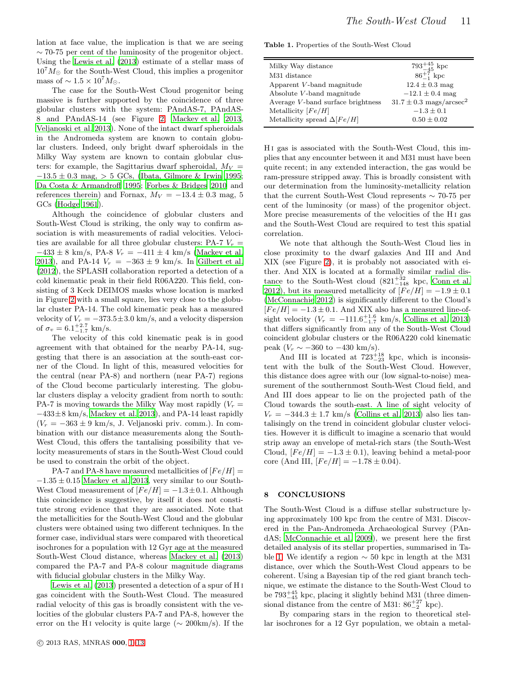lation at face value, the implication is that we are seeing  $\sim$  70-75 per cent of the luminosity of the progenitor object. Using the [Lewis et al. \(2013](#page-12-20)) estimate of a stellar mass of  $10^7 M_{\odot}$  for the South-West Cloud, this implies a progenitor mass of  $\sim 1.5 \times 10^7 M_{\odot}$ .

The case for the South-West Cloud progenitor being massive is further supported by the coincidence of three globular clusters with the system: PAndAS-7, PAndAS-8 and PAndAS-14 (see Figure [2;](#page-4-1) [Mackey et al. 2013,](#page-12-13) [Veljanoski et al. 2013\)](#page-12-14). None of the intact dwarf spheroidals in the Andromeda system are known to contain globular clusters. Indeed, only bright dwarf spheroidals in the Milky Way system are known to contain globular clusters: for example, the Sagittarius dwarf spheroidal,  $M_V =$  $-13.5 \pm 0.3$  mag,  $> 5$  GCs, [\(Ibata, Gilmore & Irwin 1995;](#page-11-24) [Da Costa & Armandroff 1995](#page-11-25); [Forbes & Bridges 2010](#page-11-26) and references therein) and Fornax,  $M_V = -13.4 \pm 0.3$  mag, 5 GCs [\(Hodge 1961](#page-11-27)).

Although the coincidence of globular clusters and South-West Cloud is striking, the only way to confirm association is with measurements of radial velocities. Velocities are available for all three globular clusters: PA-7  $V_r$  =  $-433 \pm 8$  km/s, PA-8  $V_r = -411 \pm 4$  km/s [\(Mackey et al.](#page-12-13) [2013](#page-12-13)), and PA-14  $V_r = -363 \pm 9$  km/s. In [Gilbert et al.](#page-11-18) [\(2012](#page-11-18)), the SPLASH collaboration reported a detection of a cold kinematic peak in their field R06A220. This field, consisting of 3 Keck DEIMOS masks whose location is marked in Figure [2](#page-4-1) with a small square, lies very close to the globular cluster PA-14. The cold kinematic peak has a measured velocity of  $V_r = -373.5 \pm 3.0$  km/s, and a velocity dispersion of  $\sigma_v = 6.1^{+2.7}_{-1.7}$  km/s.

The velocity of this cold kinematic peak is in good agreement with that obtained for the nearby PA-14, suggesting that there is an association at the south-east corner of the Cloud. In light of this, measured velocities for the central (near PA-8) and northern (near PA-7) regions of the Cloud become particularly interesting. The globular clusters display a velocity gradient from north to south: PA-7 is moving towards the Milky Way most rapidly  $(V_r =$ −433±8 km/s, [Mackey et al. 2013](#page-12-13)), and PA-14 least rapidly  $(V_r = -363 \pm 9 \text{ km/s}, \text{ J. Veljanoski priv. comm.).}$  In combination with our distance measurements along the South-West Cloud, this offers the tantalising possibility that velocity measurements of stars in the South-West Cloud could be used to constrain the orbit of the object.

PA-7 and PA-8 have measured metallicities of  $[Fe/H] =$  $-1.35 \pm 0.15$  [Mackey et al. 2013](#page-12-13), very similar to our South-West Cloud measurement of  $[Fe/H] = -1.3 \pm 0.1$ . Although this coincidence is suggestive, by itself it does not constitute strong evidence that they are associated. Note that the metallicities for the South-West Cloud and the globular clusters were obtained using two different techniques. In the former case, individual stars were compared with theoretical isochrones for a population with 12 Gyr age at the measured South-West Cloud distance, whereas [Mackey et al. \(2013](#page-12-13)) compared the PA-7 and PA-8 colour magnitude diagrams with fiducial globular clusters in the Milky Way.

[Lewis et al. \(2013\)](#page-12-20) presented a detection of a spur of H i gas coincident with the South-West Cloud. The measured radial velocity of this gas is broadly consistent with the velocities of the globular clusters PA-7 and PA-8, however the error on the H<sub>I</sub> velocity is quite large ( $\sim$  200km/s). If the Table 1. Properties of the South-West Cloud

<span id="page-10-1"></span>

| Milky Way distance                 | $793^{+45}_{-45}$ kpc                   |
|------------------------------------|-----------------------------------------|
| M31 distance                       | $86^{+7}_{-1}$ kpc                      |
| Apparent V-band magnitude          | $12.4 \pm 0.3$ mag                      |
| Absolute V-band magnitude          | $-12.1 \pm 0.4$ mag                     |
| Average V-band surface brightness  | $31.7 \pm 0.3$ mags/arcsec <sup>2</sup> |
| Metallicity $[Fe/H]$               | $-1.3 \pm 0.1$                          |
| Metallicity spread $\Delta [Fe/H]$ | $0.50 \pm 0.02$                         |

H i gas is associated with the South-West Cloud, this implies that any encounter between it and M31 must have been quite recent; in any extended interaction, the gas would be ram-pressure stripped away. This is broadly consistent with our determination from the luminosity-metallicity relation that the current South-West Cloud represents ∼ 70-75 per cent of the luminosity (or mass) of the progenitor object. More precise measurements of the velocities of the H<sub>I</sub> gas and the South-West Cloud are required to test this spatial correlation.

We note that although the South-West Cloud lies in close proximity to the dwarf galaxies And III and And XIX (see Figure [2\)](#page-4-1), it is probably not associated with either. And XIX is located at a formally similar radial distance to the South-West cloud  $(821^{+32}_{-148}$  kpc, [Conn et al.](#page-11-17) [2012](#page-11-17)), but its measured metallicity of  $\widehat{[Fe/H]} = -1.9 \pm 0.1$ [\(McConnachie 2012](#page-12-23)) is significantly different to the Cloud's  $[Fe/H] = -1.3 \pm 0.1$ . And XIX also has a measured line-ofsight velocity  $(V_r = -111.6^{+1.6}_{-1.7} \text{ km/s}, \text{ Collins et al. } 2013)$ that differs significantly from any of the South-West Cloud coincident globular clusters or the R06A220 cold kinematic peak  $(V_r \sim -360 \text{ to } -430 \text{ km/s}).$ 

And III is located at  $723^{+18}_{-23}$  kpc, which is inconsistent with the bulk of the South-West Cloud. However, this distance does agree with our (low signal-to-noise) measurement of the southernmost South-West Cloud field, and And III does appear to lie on the projected path of the Cloud towards the south-east. A line of sight velocity of  $V_r = -344.3 \pm 1.7$  km/s [\(Collins et al. 2013](#page-11-7)) also lies tantalisingly on the trend in coincident globular cluster velocities. However it is difficult to imagine a scenario that would strip away an envelope of metal-rich stars (the South-West Cloud,  $[Fe/H] = -1.3 \pm 0.1$ , leaving behind a metal-poor core (And III,  $[Fe/H] = -1.78 \pm 0.04$ ).

# <span id="page-10-0"></span>8 CONCLUSIONS

The South-West Cloud is a diffuse stellar substructure lying approximately 100 kpc from the centre of M31. Discovered in the Pan-Andromeda Archaeological Survey (PAndAS; [McConnachie et al. 2009](#page-12-19)), we present here the first detailed analysis of its stellar properties, summarised in Ta-ble [1.](#page-10-1) We identify a region  $\sim$  50 kpc in length at the M31 distance, over which the South-West Cloud appears to be coherent. Using a Bayesian tip of the red giant branch technique, we estimate the distance to the South-West Cloud to be  $793^{+45}_{-45}$  kpc, placing it slightly behind M31 (three dimensional distance from the centre of M31:  $86^{+27}_{-2}$  kpc).

By comparing stars in the region to theoretical stellar isochrones for a 12 Gyr population, we obtain a metal-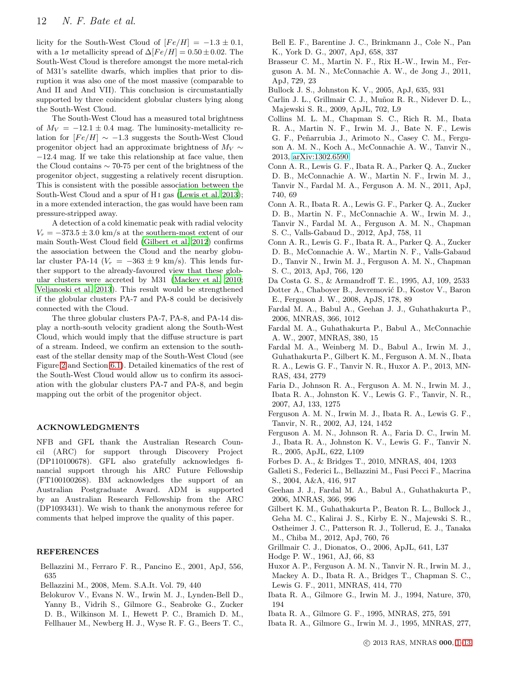licity for the South-West Cloud of  $[Fe/H] = -1.3 \pm 0.1$ , with a  $1\sigma$  metallicity spread of  $\Delta [Fe/H] = 0.50 \pm 0.02$ . The South-West Cloud is therefore amongst the more metal-rich of M31's satellite dwarfs, which implies that prior to disruption it was also one of the most massive (comparable to And II and And VII). This conclusion is circumstantially supported by three coincident globular clusters lying along the South-West Cloud.

The South-West Cloud has a measured total brightness of  $M_V = -12.1 \pm 0.4$  mag. The luminosity-metallicity relation for  $[Fe/H]$  ∼ −1.3 suggests the South-West Cloud progenitor object had an approximate brightness of  $M_V \sim$ −12.4 mag. If we take this relationship at face value, then the Cloud contains ∼ 70-75 per cent of the brightness of the progenitor object, suggesting a relatively recent disruption. This is consistent with the possible association between the South-West Cloud and a spur of H<sub>I</sub> gas [\(Lewis et al. 2013](#page-12-20)); in a more extended interaction, the gas would have been ram pressure-stripped away.

A detection of a cold kinematic peak with radial velocity  $V_r = -373.5 \pm 3.0$  km/s at the southern-most extent of our main South-West Cloud field [\(Gilbert et al. 2012](#page-11-18)) confirms the association between the Cloud and the nearby globular cluster PA-14 ( $V_r = -363 \pm 9$  km/s). This lends further support to the already-favoured view that these globular clusters were accreted by M31 [\(Mackey et al. 2010;](#page-12-4) [Veljanoski et al. 2013](#page-12-14)). This result would be strengthened if the globular clusters PA-7 and PA-8 could be decisively connected with the Cloud.

The three globular clusters PA-7, PA-8, and PA-14 display a north-south velocity gradient along the South-West Cloud, which would imply that the diffuse structure is part of a stream. Indeed, we confirm an extension to the southeast of the stellar density map of the South-West Cloud (see Figure [2](#page-4-1) and Section [6.1\)](#page-9-1). Detailed kinematics of the rest of the South-West Cloud would allow us to confirm its association with the globular clusters PA-7 and PA-8, and begin mapping out the orbit of the progenitor object.

# ACKNOWLEDGMENTS

NFB and GFL thank the Australian Research Council (ARC) for support through Discovery Project (DP110100678). GFL also gratefully acknowledges financial support through his ARC Future Fellowship (FT100100268). BM acknowledges the support of an Australian Postgraduate Award. ADM is supported by an Australian Research Fellowship from the ARC (DP1093431). We wish to thank the anonymous referee for comments that helped improve the quality of this paper.

### **REFERENCES**

- <span id="page-11-20"></span>Bellazzini M., Ferraro F. R., Pancino E., 2001, ApJ, 556, 635
- <span id="page-11-21"></span>Bellazzini M., 2008, Mem. S.A.It. Vol. 79, 440
- <span id="page-11-3"></span>Belokurov V., Evans N. W., Irwin M. J., Lynden-Bell D., Yanny B., Vidrih S., Gilmore G., Seabroke G., Zucker D. B., Wilkinson M. I., Hewett P. C., Bramich D. M., Fellhauer M., Newberg H. J., Wyse R. F. G., Beers T. C.,
- Bell E. F., Barentine J. C., Brinkmann J., Cole N., Pan K., York D. G., 2007, ApJ, 658, 337
- <span id="page-11-23"></span>Brasseur C. M., Martin N. F., Rix H.-W., Irwin M., Ferguson A. M. N., McConnachie A. W., de Jong J., 2011, ApJ, 729, 23
- <span id="page-11-5"></span>Bullock J. S., Johnston K. V., 2005, ApJ, 635, 931
- <span id="page-11-4"></span>Carlin J. L., Grillmair C. J., Muñoz R. R., Nidever D. L., Majewski S. R., 2009, ApJL, 702, L9
- <span id="page-11-7"></span>Collins M. L. M., Chapman S. C., Rich R. M., Ibata R. A., Martin N. F., Irwin M. J., Bate N. F., Lewis G. F., Peñarrubia J., Arimoto N., Casey C. M., Ferguson A. M. N., Koch A., McConnachie A. W., Tanvir N., 2013, [arXiv:1302.6590](http://arxiv.org/abs/1302.6590)
- <span id="page-11-19"></span>Conn A. R., Lewis G. F., Ibata R. A., Parker Q. A., Zucker D. B., McConnachie A. W., Martin N. F., Irwin M. J., Tanvir N., Fardal M. A., Ferguson A. M. N., 2011, ApJ, 740, 69
- <span id="page-11-17"></span>Conn A. R., Ibata R. A., Lewis G. F., Parker Q. A., Zucker D. B., Martin N. F., McConnachie A. W., Irwin M. J., Tanvir N., Fardal M. A., Ferguson A. M. N., Chapman S. C., Valls-Gabaud D., 2012, ApJ, 758, 11
- <span id="page-11-6"></span>Conn A. R., Lewis G. F., Ibata R. A., Parker Q. A., Zucker D. B., McConnachie A. W., Martin N. F., Valls-Gabaud D., Tanvir N., Irwin M. J., Ferguson A. M. N., Chapman S. C., 2013, ApJ, 766, 120
- <span id="page-11-25"></span><span id="page-11-22"></span>Da Costa G. S., & Armandroff T. E., 1995, AJ, 109, 2533 Dotter A., Chaboyer B., Jevremović D., Kostov V., Baron E., Ferguson J. W., 2008, ApJS, 178, 89
- <span id="page-11-13"></span>Fardal M. A., Babul A., Geehan J. J., Guhathakurta P., 2006, MNRAS, 366, 1012
- <span id="page-11-15"></span>Fardal M. A., Guhathakurta P., Babul A., McConnachie A. W., 2007, MNRAS, 380, 15
- <span id="page-11-16"></span>Fardal M. A., Weinberg M. D., Babul A., Irwin M. J., Guhathakurta P., Gilbert K. M., Ferguson A. M. N., Ibata R. A., Lewis G. F., Tanvir N. R., Huxor A. P., 2013, MN-RAS, 434, 2779
- <span id="page-11-11"></span>Faria D., Johnson R. A., Ferguson A. M. N., Irwin M. J., Ibata R. A., Johnston K. V., Lewis G. F., Tanvir, N. R., 2007, AJ, 133, 1275
- <span id="page-11-12"></span>Ferguson A. M. N., Irwin M. J., Ibata R. A., Lewis G. F., Tanvir, N. R., 2002, AJ, 124, 1452
- <span id="page-11-10"></span>Ferguson A. M. N., Johnson R. A., Faria D. C., Irwin M. J., Ibata R. A., Johnston K. V., Lewis G. F., Tanvir N. R., 2005, ApJL, 622, L109
- <span id="page-11-26"></span>Forbes D. A., & Bridges T., 2010, MNRAS, 404, 1203
- <span id="page-11-9"></span>Galleti S., Federici L., Bellazzini M., Fusi Pecci F., Macrina S., 2004, A&A, 416, 917
- <span id="page-11-14"></span>Geehan J. J., Fardal M. A., Babul A., Guhathakurta P., 2006, MNRAS, 366, 996
- <span id="page-11-18"></span>Gilbert K. M., Guhathakurta P., Beaton R. L., Bullock J., Geha M. C., Kalirai J. S., Kirby E. N., Majewski S. R., Ostheimer J. C., Patterson R. J., Tollerud, E. J., Tanaka M., Chiba M., 2012, ApJ, 760, 76
- <span id="page-11-2"></span>Grillmair C. J., Dionatos, O., 2006, ApJL, 641, L37
- <span id="page-11-27"></span>Hodge P. W., 1961, AJ, 66, 83
- <span id="page-11-8"></span>Huxor A. P., Ferguson A. M. N., Tanvir N. R., Irwin M. J., Mackey A. D., Ibata R. A., Bridges T., Chapman S. C., Lewis G. F., 2011, MNRAS, 414, 770
- <span id="page-11-0"></span>Ibata R. A., Gilmore G., Irwin M. J., 1994, Nature, 370, 194
- <span id="page-11-1"></span>Ibata R. A., Gilmore G. F., 1995, MNRAS, 275, 591
- <span id="page-11-24"></span>Ibata R. A., Gilmore G., Irwin M. J., 1995, MNRAS, 277,